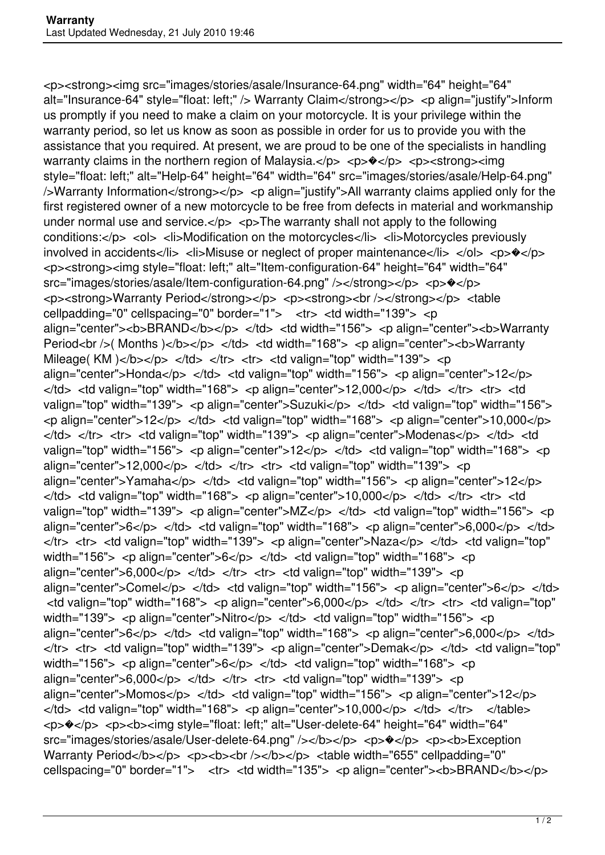<p><strong><img src="images/stories/asale/Insurance-64.png" width="64" height="64" alt="Insurance-64" style="float: left;" /> Warranty Claim</strong></p> <p align="justify">Inform us promptly if you need to make a claim on your motorcycle. It is your privilege within the warranty period, so let us know as soon as possible in order for us to provide you with the assistance that you required. At present, we are proud to be one of the specialists in handling warranty claims in the northern region of Malaysia. $<$ /p>  $<$ p> $\diamond$ /p>  $<$ p> $<$ strong> $<$ img style="float: left;" alt="Help-64" height="64" width="64" src="images/stories/asale/Help-64.png" />Warranty Information</strong></p> <p align="justify">All warranty claims applied only for the first registered owner of a new motorcycle to be free from defects in material and workmanship under normal use and service. $\langle p \rangle$   $\langle p \rangle$  The warranty shall not apply to the following conditions:</p> <ol> <li>Modification on the motorcycles</li> <li>Motorcycles previously involved in accidents</li> <li>Misuse or neglect of proper maintenance</li> </ol> <p> $\leftrightarrow$ </p> <p><strong><img style="float: left;" alt="Item-configuration-64" height="64" width="64" src="images/stories/asale/Item-configuration-64.png" /></strong></p> <p> $\triangleleft$ <br />>><strong>Warranty Period</strong></p></p></strong><br />></strong></p></table cellpadding="0" cellspacing="0" border="1"> <tr> <td width="139"> <p align="center"><b>BRAND</b></p> </td> <td width="156"> <p align="center"><b>Warranty Period<br />( Months )</b></p> </td> <td width="168"> <p align="center">>b>Warranty Mileage( KM )</b>>>> </td> </tr> <tr> <td valign="top" width="139"> <p align="center">Honda</p> </td> <td valign="top" width="156"> <p align="center">12</p>  $\langle t \rangle$  <td valign="top" width="168"> <p align="center">12,000</p> </td> </tr> <tr> <td valign="top" width="139"> <p align="center">Suzuki</p> </td> <td valign="top" width="156">  $\langle$  align="center">12 $\langle$ p>  $\langle$ td>  $\langle$ td valign="top" width="168">  $\langle$  p align="center">10,000 $\langle$ p>  $\langle t \rangle$ d>  $\langle t \rangle$   $\langle t \rangle$   $\langle t \rangle$   $\langle t \rangle$   $\langle t \rangle$  at valign="top" width="139">  $\langle t \rangle$  align="center">Modenas $\langle t \rangle$   $\langle t \rangle$   $\langle t \rangle$   $\langle t \rangle$ valign="top" width="156"> <p align="center">12</p> </td> <td valign="top" width="168"> <p align="center">12,000</p> </td> </tr> <tr> <td valign="top" width="139"> <p align="center">Yamaha</p> </td> <td valign="top" width="156"> <p align="center">12</p>  $\langle t \rangle$  <td valign="top" width="168"> <p align="center">10,000</p> </td> </tr> <tr> <td valign="top" width="139"> <p align="center">MZ</p> </td> <td valign="top" width="156"> <p align="center">6</p> </td> <td valign="top" width="168"> <p align="center">6,000</p> </td>  $\langle t \rangle$  <tr> <td valign="top" width="139"> <p align="center">Naza</p> </td> <td valign="top" width="156"> <p align="center"> $6$ </p> </td> </td> <td valign="top" width="168"> <p align="center">6,000</p> </td> </tr> <tr> <td valign="top" width="139"> <p align="center">Comel</p> </td> <td valign="top" width="156"> <p align="center">6</p> </td>  $\lt$ td valign="top" width="168">  $\lt$ p align="center">6,000 $\lt$ /p>  $\lt$ /td>  $\lt$ /tr>  $\lt$ tr>  $\lt$ td valign="top" width="139"> <p align="center">Nitro</p> </td> <td valign="top" width="156"> <p align="center">6</p> </td> <td valign="top" width="168"> <p align="center">6,000</p> </td> </tr> <tr> <td valign="top" width="139"> <p align="center">Demak</p> </td> <td valign="top" width="156"> <p align="center"> $6$ </p> </td> </td> <td valign="top" width="168"> <p align="center">6,000</p> </td> </tr> <tr> <td valign="top" width="139"> <p align="center">Momos</p> </td> <td valign="top" width="156"> <p align="center">12</p>  $\langle t \rangle$  <td valign="top" width="168"> <p align="center">10,000</p> </td> </tr> </table> <p> $\sqrt{\frac{P}{C}}$  <p><b><img style="float: left;" alt="User-delete-64" height="64" width="64" src="images/stories/asale/User-delete-64.png" /></b></p> <p> $\langle p \rangle$  <p>><b>Exception Warranty Period</b></p> <p><br />b><br />>/> </p></p> </p> <table width="655" cellpadding="0" cellspacing="0" border="1"> <tr> <td width="135"> <p align="center"><b>BRAND</b></p>